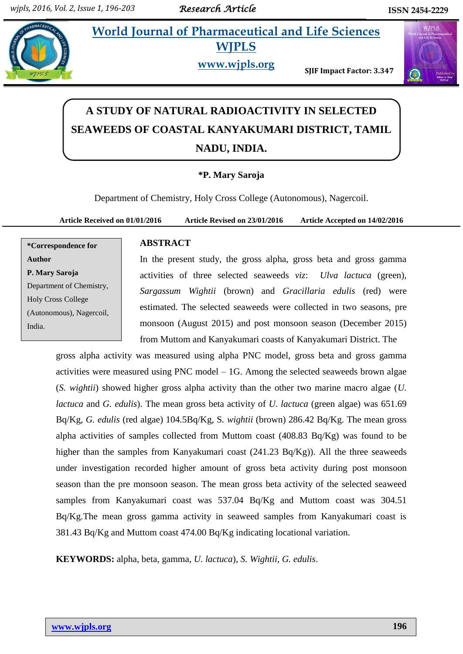**World Journal of Pharmaceutical and Life Sciences WJPLS**



**www.wjpls.org** 

**SJIF Impact Factor: 3.347**



# **A STUDY OF NATURAL RADIOACTIVITY IN SELECTED SEAWEEDS OF COASTAL KANYAKUMARI DISTRICT, TAMIL NADU, INDIA.**

## **\*P. Mary Saroja**

Department of Chemistry, Holy Cross College (Autonomous), Nagercoil.

**Article Received on 01/01/2016 Article Revised on 23/01/2016 Article Accepted on 14/02/2016**

# **\*Correspondence for Author P. Mary Saroja** Department of Chemistry, Holy Cross College (Autonomous), Nagercoil, India.

#### **ABSTRACT**

In the present study, the gross alpha, gross beta and gross gamma activities of three selected seaweeds *viz*: *Ulva lactuca* (green), *Sargassum Wightii* (brown) and *Gracillaria edulis* (red) were estimated. The selected seaweeds were collected in two seasons, pre monsoon (August 2015) and post monsoon season (December 2015) from Muttom and Kanyakumari coasts of Kanyakumari District. The

gross alpha activity was measured using alpha PNC model, gross beta and gross gamma activities were measured using PNC model – 1G. Among the selected seaweeds brown algae (*S. wightii*) showed higher gross alpha activity than the other two marine macro algae (*U. lactuca* and *G. edulis*). The mean gross beta activity of *U. lactuca* (green algae) was 651.69 Bq/Kg, *G. edulis* (red algae) 104.5Bq/Kg, S*. wightii* (brown) 286.42 Bq/Kg. The mean gross alpha activities of samples collected from Muttom coast (408.83 Bq/Kg) was found to be higher than the samples from Kanyakumari coast (241.23 Bq/Kg)). All the three seaweeds under investigation recorded higher amount of gross beta activity during post monsoon season than the pre monsoon season. The mean gross beta activity of the selected seaweed samples from Kanyakumari coast was 537.04 Bq/Kg and Muttom coast was 304.51 Bq/Kg.The mean gross gamma activity in seaweed samples from Kanyakumari coast is 381.43 Bq/Kg and Muttom coast 474.00 Bq/Kg indicating locational variation.

**KEYWORDS:** alpha, beta, gamma, *U. lactuca*), *S. Wightii*, *G. edulis*.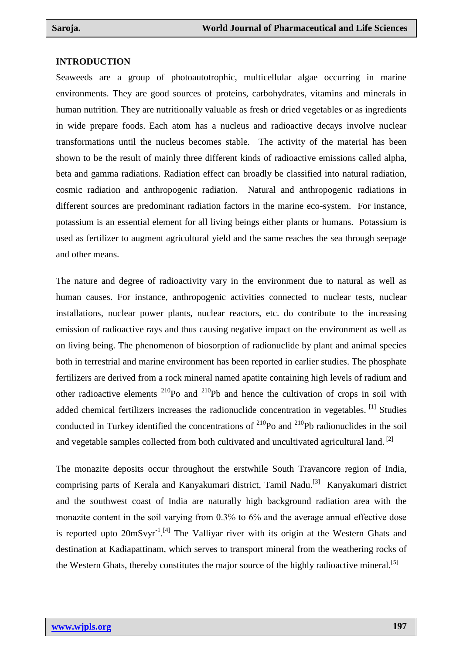#### **INTRODUCTION**

Seaweeds are a group of photoautotrophic, multicellular algae occurring in marine environments. They are good sources of proteins, carbohydrates, vitamins and minerals in human nutrition. They are nutritionally valuable as fresh or dried vegetables or as ingredients in wide prepare foods. Each atom has a nucleus and radioactive decays involve nuclear transformations until the nucleus becomes stable. The activity of the material has been shown to be the result of mainly three different kinds of radioactive emissions called alpha, beta and gamma radiations. Radiation effect can broadly be classified into natural radiation, cosmic radiation and anthropogenic radiation. Natural and anthropogenic radiations in different sources are predominant radiation factors in the marine eco-system. For instance, potassium is an essential element for all living beings either plants or humans. Potassium is used as fertilizer to augment agricultural yield and the same reaches the sea through seepage and other means.

The nature and degree of radioactivity vary in the environment due to natural as well as human causes. For instance, anthropogenic activities connected to nuclear tests, nuclear installations, nuclear power plants, nuclear reactors, etc. do contribute to the increasing emission of radioactive rays and thus causing negative impact on the environment as well as on living being. The phenomenon of biosorption of radionuclide by plant and animal species both in terrestrial and marine environment has been reported in earlier studies. The phosphate fertilizers are derived from a rock mineral named apatite containing high levels of radium and other radioactive elements  $^{210}$ Po and  $^{210}$ Pb and hence the cultivation of crops in soil with added chemical fertilizers increases the radionuclide concentration in vegetables. [1] Studies conducted in Turkey identified the concentrations of  $^{210}$ Po and  $^{210}$ Pb radionuclides in the soil and vegetable samples collected from both cultivated and uncultivated agricultural land. <sup>[2]</sup>

The monazite deposits occur throughout the erstwhile South Travancore region of India, comprising parts of Kerala and Kanyakumari district, Tamil Nadu.<sup>[3]</sup> Kanyakumari district and the southwest coast of India are naturally high background radiation area with the monazite content in the soil varying from 0.3% to 6% and the average annual effective dose is reported upto  $20 \text{mS} \text{vyr}^{-1}$ .<sup>[4]</sup> The Valliyar river with its origin at the Western Ghats and destination at Kadiapattinam, which serves to transport mineral from the weathering rocks of the Western Ghats, thereby constitutes the major source of the highly radioactive mineral.<sup>[5]</sup>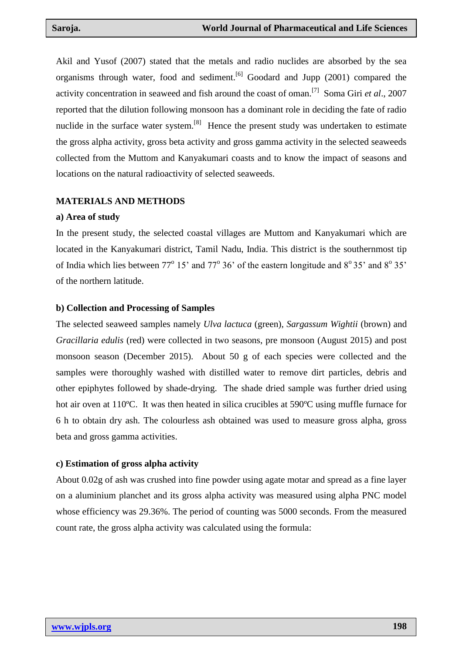Akil and Yusof (2007) stated that the metals and radio nuclides are absorbed by the sea organisms through water, food and sediment.<sup>[6]</sup> Goodard and Jupp (2001) compared the activity concentration in seaweed and fish around the coast of oman.[7] Soma Giri *et al*., 2007 reported that the dilution following monsoon has a dominant role in deciding the fate of radio nuclide in the surface water system.<sup>[8]</sup> Hence the present study was undertaken to estimate the gross alpha activity, gross beta activity and gross gamma activity in the selected seaweeds collected from the Muttom and Kanyakumari coasts and to know the impact of seasons and locations on the natural radioactivity of selected seaweeds.

### **MATERIALS AND METHODS**

### **a) Area of study**

In the present study, the selected coastal villages are Muttom and Kanyakumari which are located in the Kanyakumari district, Tamil Nadu, India. This district is the southernmost tip of India which lies between  $77^{\circ}$  15' and  $77^{\circ}$  36' of the eastern longitude and  $8^{\circ}$  35' and  $8^{\circ}$  35' of the northern latitude.

### **b) Collection and Processing of Samples**

The selected seaweed samples namely *Ulva lactuca* (green), *Sargassum Wightii* (brown) and *Gracillaria edulis* (red) were collected in two seasons, pre monsoon (August 2015) and post monsoon season (December 2015). About 50 g of each species were collected and the samples were thoroughly washed with distilled water to remove dirt particles, debris and other epiphytes followed by shade-drying. The shade dried sample was further dried using hot air oven at 110<sup>o</sup>C. It was then heated in silica crucibles at 590<sup>o</sup>C using muffle furnace for 6 h to obtain dry ash. The colourless ash obtained was used to measure gross alpha, gross beta and gross gamma activities.

### **c) Estimation of gross alpha activity**

About 0.02g of ash was crushed into fine powder using agate motar and spread as a fine layer on a aluminium planchet and its gross alpha activity was measured using alpha PNC model whose efficiency was 29.36%. The period of counting was 5000 seconds. From the measured count rate, the gross alpha activity was calculated using the formula: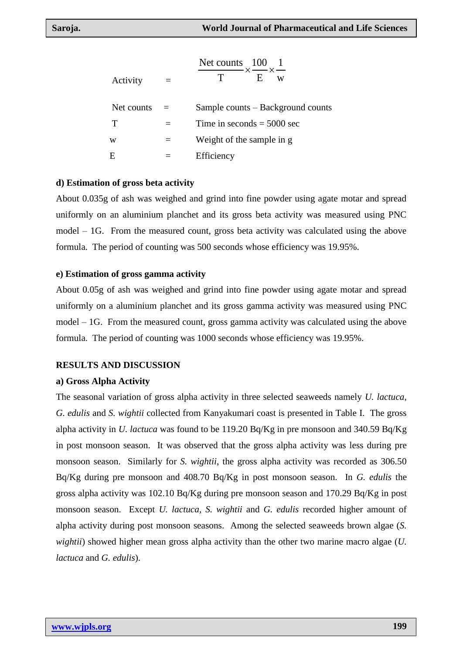| Activity   | Net counts 100<br>$ \times$ $ \times$ $-$<br>E<br>W |
|------------|-----------------------------------------------------|
| Net counts | Sample counts – Background counts                   |
| т          | Time in seconds $=$ 5000 sec                        |
| W          | Weight of the sample in g                           |
| E          | Efficiency                                          |

#### **d) Estimation of gross beta activity**

About 0.035g of ash was weighed and grind into fine powder using agate motar and spread uniformly on an aluminium planchet and its gross beta activity was measured using PNC model – 1G. From the measured count, gross beta activity was calculated using the above formula. The period of counting was 500 seconds whose efficiency was 19.95%.

#### **e) Estimation of gross gamma activity**

About 0.05g of ash was weighed and grind into fine powder using agate motar and spread uniformly on a aluminium planchet and its gross gamma activity was measured using PNC model – 1G. From the measured count, gross gamma activity was calculated using the above formula. The period of counting was 1000 seconds whose efficiency was 19.95%.

#### **RESULTS AND DISCUSSION**

#### **a) Gross Alpha Activity**

The seasonal variation of gross alpha activity in three selected seaweeds namely *U. lactuca*, *G. edulis* and *S. wightii* collected from Kanyakumari coast is presented in Table I. The gross alpha activity in *U. lactuca* was found to be 119.20 Bq/Kg in pre monsoon and 340.59 Bq/Kg in post monsoon season. It was observed that the gross alpha activity was less during pre monsoon season. Similarly for *S. wightii*, the gross alpha activity was recorded as 306.50 Bq/Kg during pre monsoon and 408.70 Bq/Kg in post monsoon season. In *G. edulis* the gross alpha activity was 102.10 Bq/Kg during pre monsoon season and 170.29 Bq/Kg in post monsoon season. Except *U. lactuca, S. wightii* and *G. edulis* recorded higher amount of alpha activity during post monsoon seasons. Among the selected seaweeds brown algae (*S. wightii*) showed higher mean gross alpha activity than the other two marine macro algae (*U. lactuca* and *G. edulis*).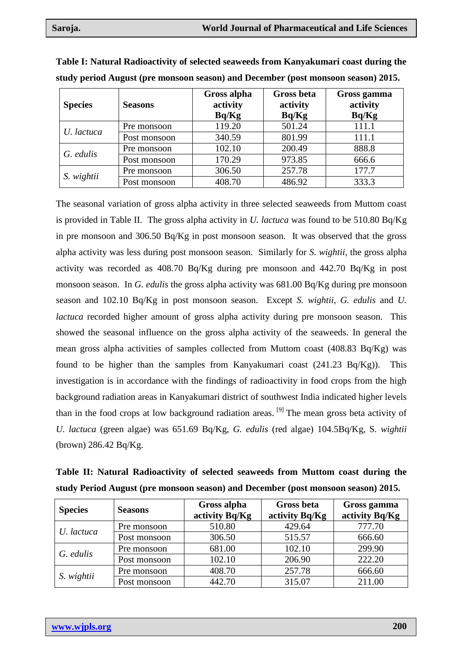| <b>Species</b> | <b>Seasons</b> | Gross alpha<br>activity<br>Bq/Kg | <b>Gross beta</b><br>activity<br>Bq/Kg | Gross gamma<br>activity<br>Bq/Kg |
|----------------|----------------|----------------------------------|----------------------------------------|----------------------------------|
| U. lactuca     | Pre monsoon    | 119.20                           | 501.24                                 | 111.1                            |
|                | Post monsoon   | 340.59                           | 801.99                                 | 111.1                            |
| G. edulis      | Pre monsoon    | 102.10                           | 200.49                                 | 888.8                            |
|                | Post monsoon   | 170.29                           | 973.85                                 | 666.6                            |
| S. wightii     | Pre monsoon    | 306.50                           | 257.78                                 | 177.7                            |
|                | Post monsoon   | 408.70                           | 486.92                                 | 333.3                            |

**Table I: Natural Radioactivity of selected seaweeds from Kanyakumari coast during the study period August (pre monsoon season) and December (post monsoon season) 2015.** 

The seasonal variation of gross alpha activity in three selected seaweeds from Muttom coast is provided in Table II. The gross alpha activity in *U. lactuca* was found to be 510.80 Bq/Kg in pre monsoon and 306.50 Bq/Kg in post monsoon season. It was observed that the gross alpha activity was less during post monsoon season. Similarly for *S. wightii*, the gross alpha activity was recorded as 408.70 Bq/Kg during pre monsoon and 442.70 Bq/Kg in post monsoon season. In *G. edulis* the gross alpha activity was 681.00 Bq/Kg during pre monsoon season and 102.10 Bq/Kg in post monsoon season. Except *S. wightii, G. edulis* and *U. lactuca* recorded higher amount of gross alpha activity during pre monsoon season. This showed the seasonal influence on the gross alpha activity of the seaweeds. In general the mean gross alpha activities of samples collected from Muttom coast (408.83 Bq/Kg) was found to be higher than the samples from Kanyakumari coast  $(241.23 \text{ Bq/Kg})$ . This investigation is in accordance with the findings of radioactivity in food crops from the high background radiation areas in Kanyakumari district of southwest India indicated higher levels than in the food crops at low background radiation areas. <sup>[9]</sup> The mean gross beta activity of *U. lactuca* (green algae) was 651.69 Bq/Kg, *G. edulis* (red algae) 104.5Bq/Kg, S*. wightii* (brown) 286.42 Bq/Kg.

| <b>Species</b> | study Period August (pre monsoon season) and December (post monsoon season) 2015.<br><b>Seasons</b> | Gross alpha<br>activity Bq/Kg | <b>Gross beta</b><br>activity Bq/Kg | Gross gamma<br>activity Bq/Kg |
|----------------|-----------------------------------------------------------------------------------------------------|-------------------------------|-------------------------------------|-------------------------------|
| U. lactuca     | Pre monsoon                                                                                         | 510.80                        | 429.64                              | 777.70                        |
|                | Post monsoon                                                                                        | 306.50                        | 515.57                              | 666.60                        |
| G. edulis      | Pre monsoon                                                                                         | 681.00                        | 102.10                              | 299.90                        |
|                | Post monsoon                                                                                        | 102.10                        | 206.90                              | 222.20                        |
| S. wightii     | Pre monsoon                                                                                         | 408.70                        | 257.78                              | 666.60                        |
|                | Post monsoon                                                                                        | 442.70                        | 315.07                              | 211.00                        |

**Table II: Natural Radioactivity of selected seaweeds from Muttom coast during the study Period August (pre monsoon season) and December (post monsoon season) 2015.**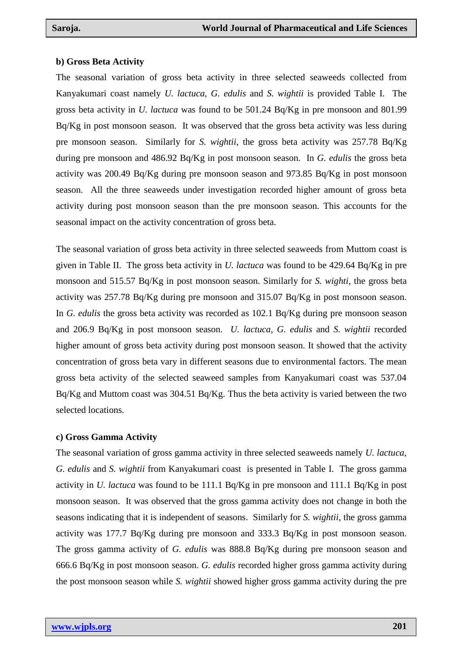#### **b) Gross Beta Activity**

The seasonal variation of gross beta activity in three selected seaweeds collected from Kanyakumari coast namely *U. lactuca*, *G. edulis* and *S. wightii* is provided Table I. The gross beta activity in *U. lactuca* was found to be 501.24 Bq/Kg in pre monsoon and 801.99 Bq/Kg in post monsoon season. It was observed that the gross beta activity was less during pre monsoon season. Similarly for *S. wightii*, the gross beta activity was 257.78 Bq/Kg during pre monsoon and 486.92 Bq/Kg in post monsoon season. In *G. edulis* the gross beta activity was 200.49 Bq/Kg during pre monsoon season and 973.85 Bq/Kg in post monsoon season. All the three seaweeds under investigation recorded higher amount of gross beta activity during post monsoon season than the pre monsoon season. This accounts for the seasonal impact on the activity concentration of gross beta.

The seasonal variation of gross beta activity in three selected seaweeds from Muttom coast is given in Table II. The gross beta activity in *U. lactuca* was found to be 429.64 Bq/Kg in pre monsoon and 515.57 Bq/Kg in post monsoon season. Similarly for *S. wighti*, the gross beta activity was 257.78 Bq/Kg during pre monsoon and 315.07 Bq/Kg in post monsoon season. In *G. edulis* the gross beta activity was recorded as 102.1 Bq/Kg during pre monsoon season and 206.9 Bq/Kg in post monsoon season. *U. lactuca*, *G. edulis* and *S. wightii* recorded higher amount of gross beta activity during post monsoon season. It showed that the activity concentration of gross beta vary in different seasons due to environmental factors. The mean gross beta activity of the selected seaweed samples from Kanyakumari coast was 537.04 Bq/Kg and Muttom coast was 304.51 Bq/Kg. Thus the beta activity is varied between the two selected locations.

#### **c) Gross Gamma Activity**

The seasonal variation of gross gamma activity in three selected seaweeds namely *U. lactuca*, *G. edulis* and *S. wightii* from Kanyakumari coast is presented in Table I. The gross gamma activity in *U. lactuca* was found to be 111.1 Bq/Kg in pre monsoon and 111.1 Bq/Kg in post monsoon season. It was observed that the gross gamma activity does not change in both the seasons indicating that it is independent of seasons. Similarly for *S. wightii*, the gross gamma activity was 177.7 Bq/Kg during pre monsoon and 333.3 Bq/Kg in post monsoon season. The gross gamma activity of *G. edulis* was 888.8 Bq/Kg during pre monsoon season and 666.6 Bq/Kg in post monsoon season. *G. edulis* recorded higher gross gamma activity during the post monsoon season while *S. wightii* showed higher gross gamma activity during the pre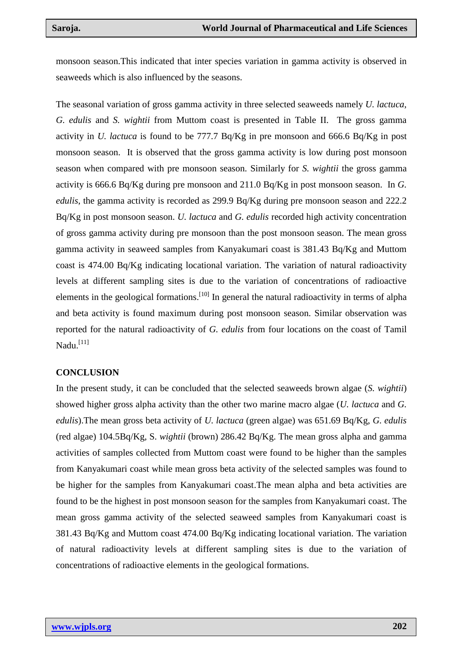monsoon season.This indicated that inter species variation in gamma activity is observed in seaweeds which is also influenced by the seasons.

The seasonal variation of gross gamma activity in three selected seaweeds namely *U. lactuca*, *G. edulis* and *S. wightii* from Muttom coast is presented in Table II. The gross gamma activity in *U. lactuca* is found to be 777.7 Bq/Kg in pre monsoon and 666.6 Bq/Kg in post monsoon season. It is observed that the gross gamma activity is low during post monsoon season when compared with pre monsoon season. Similarly for *S. wightii* the gross gamma activity is 666.6 Bq/Kg during pre monsoon and 211.0 Bq/Kg in post monsoon season. In *G. edulis*, the gamma activity is recorded as 299.9 Bq/Kg during pre monsoon season and 222.2 Bq/Kg in post monsoon season. *U. lactuca* and *G. edulis* recorded high activity concentration of gross gamma activity during pre monsoon than the post monsoon season. The mean gross gamma activity in seaweed samples from Kanyakumari coast is 381.43 Bq/Kg and Muttom coast is 474.00 Bq/Kg indicating locational variation. The variation of natural radioactivity levels at different sampling sites is due to the variation of concentrations of radioactive elements in the geological formations.<sup>[10]</sup> In general the natural radioactivity in terms of alpha and beta activity is found maximum during post monsoon season. Similar observation was reported for the natural radioactivity of *G. edulis* from four locations on the coast of Tamil Nadu.<sup>[11]</sup>

### **CONCLUSION**

In the present study, it can be concluded that the selected seaweeds brown algae (*S. wightii*) showed higher gross alpha activity than the other two marine macro algae (*U. lactuca* and *G. edulis*).The mean gross beta activity of *U. lactuca* (green algae) was 651.69 Bq/Kg, *G. edulis* (red algae) 104.5Bq/Kg, S*. wightii* (brown) 286.42 Bq/Kg. The mean gross alpha and gamma activities of samples collected from Muttom coast were found to be higher than the samples from Kanyakumari coast while mean gross beta activity of the selected samples was found to be higher for the samples from Kanyakumari coast.The mean alpha and beta activities are found to be the highest in post monsoon season for the samples from Kanyakumari coast. The mean gross gamma activity of the selected seaweed samples from Kanyakumari coast is 381.43 Bq/Kg and Muttom coast 474.00 Bq/Kg indicating locational variation. The variation of natural radioactivity levels at different sampling sites is due to the variation of concentrations of radioactive elements in the geological formations.